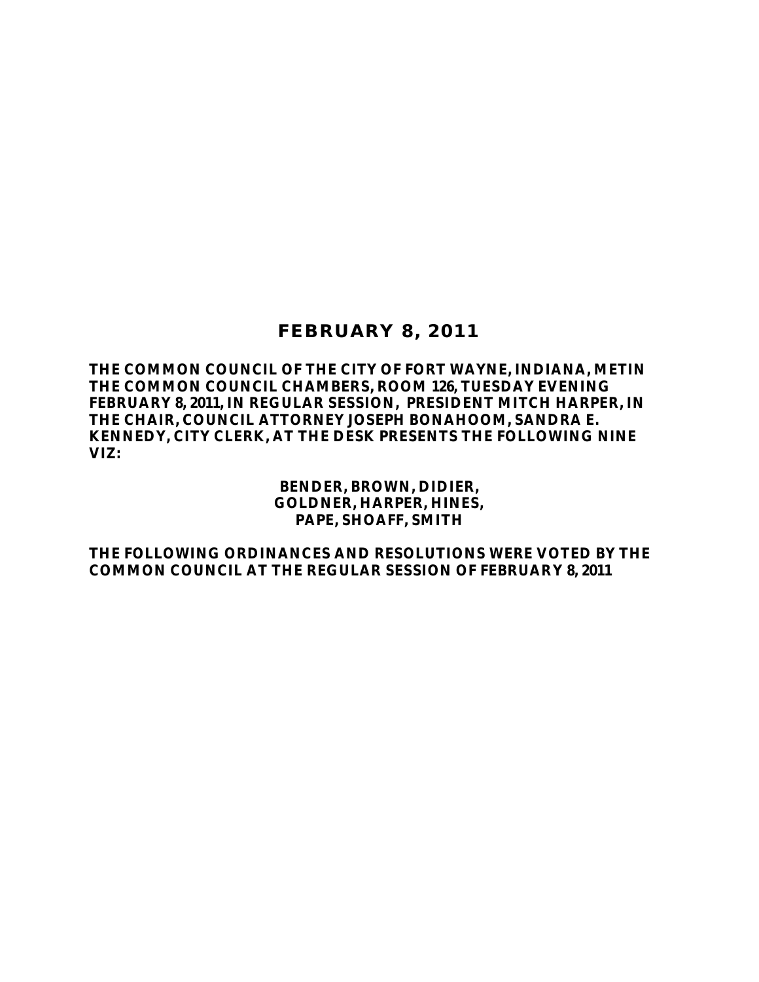## **FEBRUARY 8, 2011**

**THE COMMON COUNCIL OF THE CITY OF FORT WAYNE, INDIANA, METIN THE COMMON COUNCIL CHAMBERS, ROOM 126, TUESDAY EVENING FEBRUARY 8, 2011, IN REGULAR SESSION, PRESIDENT MITCH HARPER, IN THE CHAIR, COUNCIL ATTORNEY JOSEPH BONAHOOM, SANDRA E. KENNEDY, CITY CLERK, AT THE DESK PRESENTS THE FOLLOWING NINE VIZ:**

> **BENDER, BROWN, DIDIER, GOLDNER, HARPER, HINES, PAPE, SHOAFF, SMITH**

**THE FOLLOWING ORDINANCES AND RESOLUTIONS WERE VOTED BY THE COMMON COUNCIL AT THE REGULAR SESSION OF FEBRUARY 8, 2011**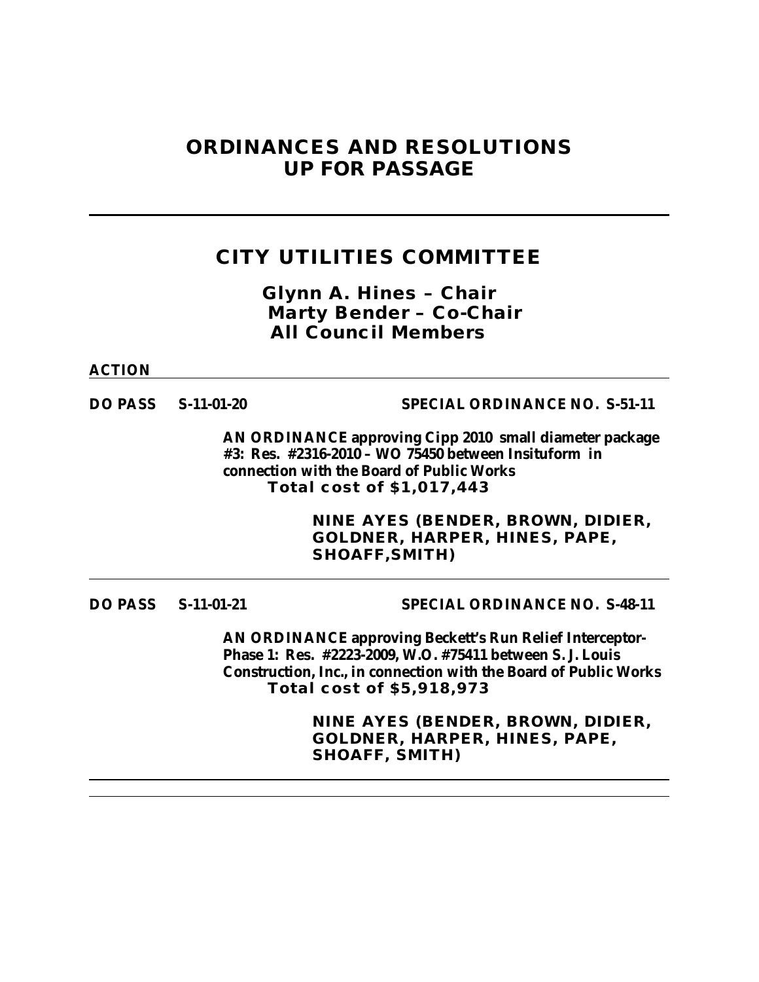# **ORDINANCES AND RESOLUTIONS UP FOR PASSAGE**

# **CITY UTILITIES COMMITTEE**

*Glynn A. Hines – Chair Marty Bender – Co-Chair All Council Members*

**ACTION**

**DO PASS S-11-01-20 SPECIAL ORDINANCE NO. S-51-11**

**AN ORDINANCE approving Cipp 2010 small diameter package #3: Res. #2316-2010 – WO 75450 between Insituform in connection with the Board of Public Works Total cost of \$1,017,443**

> **NINE AYES (BENDER, BROWN, DIDIER, GOLDNER, HARPER, HINES, PAPE, SHOAFF,SMITH)**

**DO PASS S-11-01-21 SPECIAL ORDINANCE NO. S-48-11**

**AN ORDINANCE approving Beckett's Run Relief Interceptor-Phase 1: Res. #2223-2009, W.O. #75411 between S. J. Louis Construction, Inc., in connection with the Board of Public Works Total cost of \$5,918,973**

> **NINE AYES (BENDER, BROWN, DIDIER, GOLDNER, HARPER, HINES, PAPE, SHOAFF, SMITH)**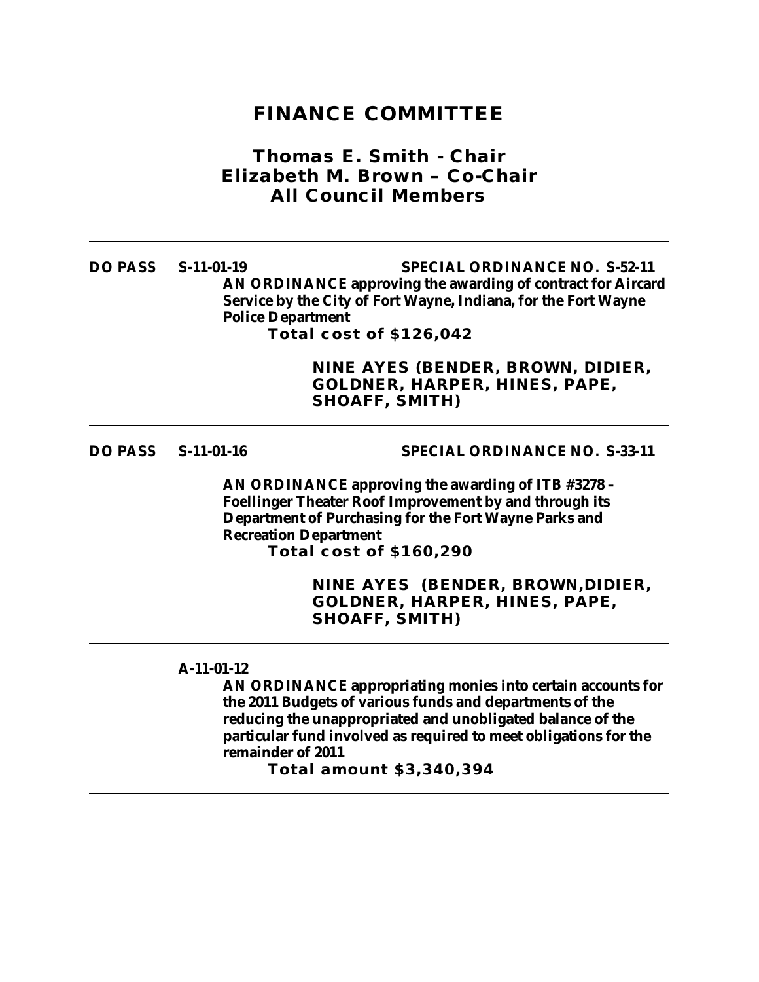## **FINANCE COMMITTEE**

## *Thomas E. Smith - Chair Elizabeth M. Brown – Co-Chair All Council Members*

**DO PASS S-11-01-19 SPECIAL ORDINANCE NO. S-52-11 AN ORDINANCE approving the awarding of contract for Aircard Service by the City of Fort Wayne, Indiana, for the Fort Wayne Police Department Total cost of \$126,042**

> **NINE AYES (BENDER, BROWN, DIDIER, GOLDNER, HARPER, HINES, PAPE, SHOAFF, SMITH)**

**DO PASS S-11-01-16 SPECIAL ORDINANCE NO. S-33-11**

**AN ORDINANCE approving the awarding of ITB #3278 – Foellinger Theater Roof Improvement by and through its Department of Purchasing for the Fort Wayne Parks and Recreation Department Total cost of \$160,290**

> **NINE AYES (BENDER, BROWN,DIDIER, GOLDNER, HARPER, HINES, PAPE, SHOAFF, SMITH)**

### **A-11-01-12**

**AN ORDINANCE appropriating monies into certain accounts for the 2011 Budgets of various funds and departments of the reducing the unappropriated and unobligated balance of the particular fund involved as required to meet obligations for the remainder of 2011**

**Total amount \$3,340,394**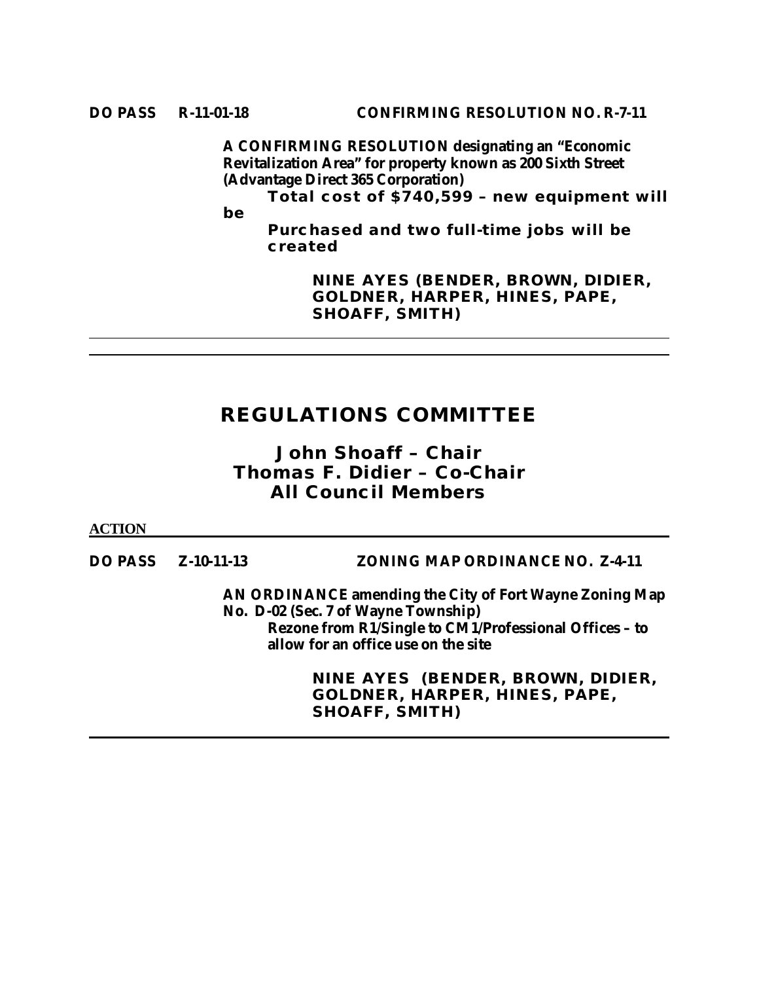**A CONFIRMING RESOLUTION designating an "Economic Revitalization Area" for property known as 200 Sixth Street (Advantage Direct 365 Corporation)**

**Total cost of \$740,599 – new equipment will** 

**be** 

**Purchased and two full-time jobs will be created**

> **NINE AYES (BENDER, BROWN, DIDIER, GOLDNER, HARPER, HINES, PAPE, SHOAFF, SMITH)**

# **REGULATIONS COMMITTEE**

*John Shoaff – Chair Thomas F. Didier – Co-Chair All Council Members*

**ACTION**

**DO PASS Z-10-11-13 ZONING MAP ORDINANCE NO. Z-4-11**

**AN ORDINANCE amending the City of Fort Wayne Zoning Map No. D-02 (Sec. 7 of Wayne Township) Rezone from R1/Single to CM1/Professional Offices – to allow for an office use on the site**

> **NINE AYES (BENDER, BROWN, DIDIER, GOLDNER, HARPER, HINES, PAPE, SHOAFF, SMITH)**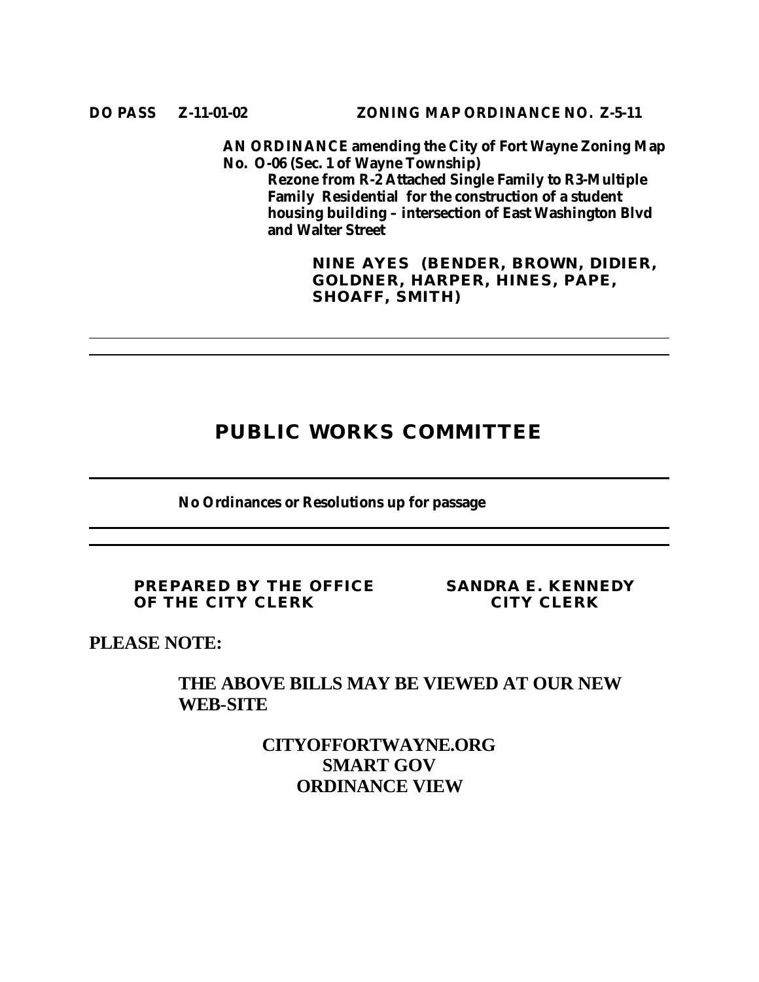**AN ORDINANCE amending the City of Fort Wayne Zoning Map No. O-06 (Sec. 1 of Wayne Township) Rezone from R-2 Attached Single Family to R3-Multiple Family Residential for the construction of a student housing building – intersection of East Washington Blvd and Walter Street**

> **NINE AYES (BENDER, BROWN, DIDIER, GOLDNER, HARPER, HINES, PAPE, SHOAFF, SMITH)**

# **PUBLIC WORKS COMMITTEE**

**No Ordinances or Resolutions up for passage**

**PREPARED BY THE OFFICE SANDRA E. KENNEDY OF THE CITY CLERK CITY CLERK**

**PLEASE NOTE:**

## **THE ABOVE BILLS MAY BE VIEWED AT OUR NEW WEB-SITE**

**CITYOFFORTWAYNE.ORG SMART GOV ORDINANCE VIEW**